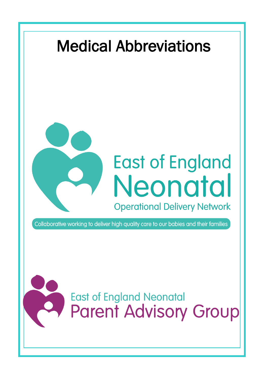## Medical Abbreviations



## **East of England Neonatal Operational Delivery Network**

Collaborative working to deliver high quality care to our babies and their families

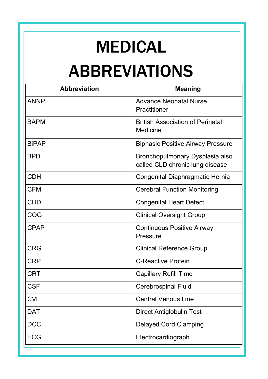## MEDICAL ABBREVIATIONS

| <b>Abbreviation</b> | <b>Meaning</b>                                                     |
|---------------------|--------------------------------------------------------------------|
| <b>ANNP</b>         | <b>Advance Neonatal Nurse</b><br>Practitioner                      |
| <b>BAPM</b>         | <b>British Association of Perinatal</b><br>Medicine                |
| <b>BiPAP</b>        | <b>Biphasic Positive Airway Pressure</b>                           |
| <b>RPD</b>          | Bronchopulmonary Dysplasia also<br>called CLD chronic lung disease |
| <b>CDH</b>          | Congenital Diaphragmatic Hernia                                    |
| <b>CFM</b>          | <b>Cerebral Function Monitoring</b>                                |
| <b>CHD</b>          | <b>Congenital Heart Defect</b>                                     |
| COG                 | <b>Clinical Oversight Group</b>                                    |
| CPAP                | <b>Continuous Positive Airway</b><br>Pressure                      |
| <b>CRG</b>          | <b>Clinical Reference Group</b>                                    |
| <b>CRP</b>          | <b>C-Reactive Protein</b>                                          |
| <b>CRT</b>          | Capillary Refill Time                                              |
| <b>CSF</b>          | Cerebrospinal Fluid                                                |
| <b>CVL</b>          | Central Venous Line                                                |
| <b>DAT</b>          | <b>Direct Antiglobulin Test</b>                                    |
| <b>DCC</b>          | <b>Delayed Cord Clamping</b>                                       |
| <b>ECG</b>          | Electrocardiograph                                                 |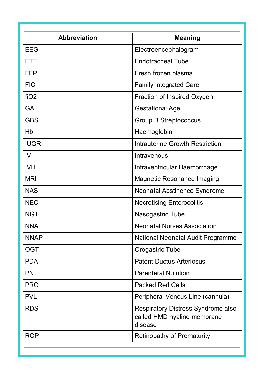| <b>Abbreviation</b> | <b>Meaning</b>                                                               |
|---------------------|------------------------------------------------------------------------------|
| EEG                 | Electroencephalogram                                                         |
| ETT                 | <b>Endotracheal Tube</b>                                                     |
| FFP                 | Fresh frozen plasma                                                          |
| <b>FIC</b>          | <b>Family integrated Care</b>                                                |
| fiO2                | Fraction of Inspired Oxygen                                                  |
| GA                  | <b>Gestational Age</b>                                                       |
| GBS                 | <b>Group B Streptococcus</b>                                                 |
| Hb                  | Haemoglobin                                                                  |
| <b>IUGR</b>         | Intrauterine Growth Restriction                                              |
| IV                  | Intravenous                                                                  |
| <b>IVH</b>          | Intraventricular Haemorrhage                                                 |
| MRI                 | Magnetic Resonance Imaging                                                   |
| <b>NAS</b>          | Neonatal Abstinence Syndrome                                                 |
| <b>NEC</b>          | <b>Necrotising Enterocolitis</b>                                             |
| <b>NGT</b>          | Nasogastric Tube                                                             |
| <b>NNA</b>          | <b>Neonatal Nurses Association</b>                                           |
| <b>NNAP</b>         | National Neonatal Audit Programme                                            |
| OGT                 | Orogastric Tube                                                              |
| <b>PDA</b>          | <b>Patent Ductus Arteriosus</b>                                              |
| PN                  | <b>Parenteral Nutrition</b>                                                  |
| <b>PRC</b>          | <b>Packed Red Cells</b>                                                      |
| <b>PVI</b>          | Peripheral Venous Line (cannula)                                             |
| <b>RDS</b>          | Respiratory Distress Syndrome also<br>called HMD hyaline membrane<br>disease |
| <b>ROP</b>          | Retinopathy of Prematurity                                                   |
|                     |                                                                              |